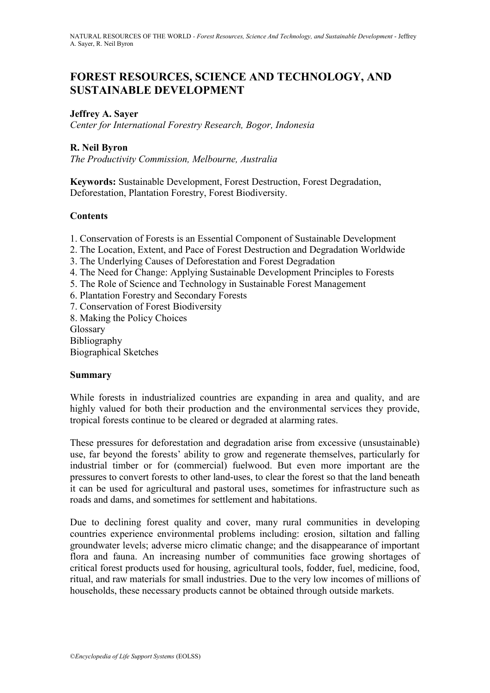# **FOREST RESOURCES, SCIENCE AND TECHNOLOGY, AND SUSTAINABLE DEVELOPMENT**

### **Jeffrey A. Sayer**

*Center for International Forestry Research, Bogor, Indonesia*

## **R. Neil Byron**

*The Productivity Commission, Melbourne, Australia*

**Keywords:** Sustainable Development, Forest Destruction, Forest Degradation, Deforestation, Plantation Forestry, Forest Biodiversity.

## **Contents**

- 1. Conservation of Forests is an Essential Component of Sustainable Development
- 2. The Location, Extent, and Pace of Forest Destruction and Degradation Worldwide
- 3. The Underlying Causes of Deforestation and Forest Degradation
- 4. The Need for Change: Applying Sustainable Development Principles to Forests
- 5. The Role of Science and Technology in Sustainable Forest Management
- 6. Plantation Forestry and Secondary Forests
- 7. Conservation of Forest Biodiversity
- 8. Making the Policy Choices
- Glossary
- Bibliography

Biographical Sketches

### **Summary**

While forests in industrialized countries are expanding in area and quality, and are highly valued for both their production and the environmental services they provide, tropical forests continue to be cleared or degraded at alarming rates.

These pressures for deforestation and degradation arise from excessive (unsustainable) use, far beyond the forests' ability to grow and regenerate themselves, particularly for industrial timber or for (commercial) fuelwood. But even more important are the pressures to convert forests to other land-uses, to clear the forest so that the land beneath it can be used for agricultural and pastoral uses, sometimes for infrastructure such as roads and dams, and sometimes for settlement and habitations.

Due to declining forest quality and cover, many rural communities in developing countries experience environmental problems including: erosion, siltation and falling groundwater levels; adverse micro climatic change; and the disappearance of important flora and fauna. An increasing number of communities face growing shortages of critical forest products used for housing, agricultural tools, fodder, fuel, medicine, food, ritual, and raw materials for small industries. Due to the very low incomes of millions of households, these necessary products cannot be obtained through outside markets.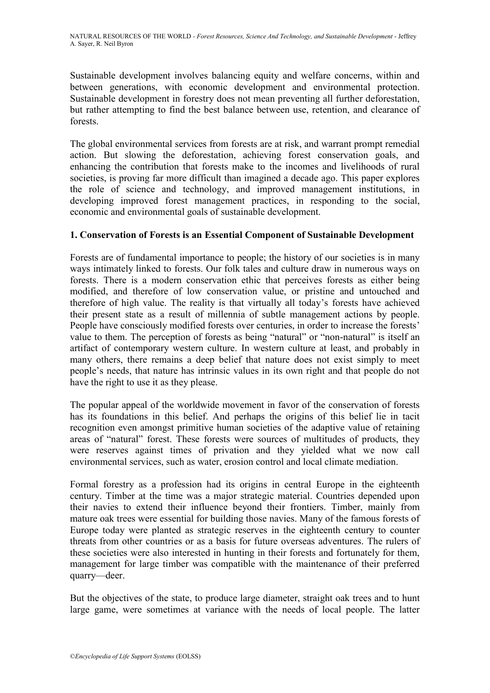Sustainable development involves balancing equity and welfare concerns, within and between generations, with economic development and environmental protection. Sustainable development in forestry does not mean preventing all further deforestation, but rather attempting to find the best balance between use, retention, and clearance of forests.

The global environmental services from forests are at risk, and warrant prompt remedial action. But slowing the deforestation, achieving forest conservation goals, and enhancing the contribution that forests make to the incomes and livelihoods of rural societies, is proving far more difficult than imagined a decade ago. This paper explores the role of science and technology, and improved management institutions, in developing improved forest management practices, in responding to the social, economic and environmental goals of sustainable development.

## **1. Conservation of Forests is an Essential Component of Sustainable Development**

Forests are of fundamental importance to people; the history of our societies is in many ways intimately linked to forests. Our folk tales and culture draw in numerous ways on forests. There is a modern conservation ethic that perceives forests as either being modified, and therefore of low conservation value, or pristine and untouched and therefore of high value. The reality is that virtually all today's forests have achieved their present state as a result of millennia of subtle management actions by people. People have consciously modified forests over centuries, in order to increase the forests' value to them. The perception of forests as being "natural" or "non-natural" is itself an artifact of contemporary western culture. In western culture at least, and probably in many others, there remains a deep belief that nature does not exist simply to meet people's needs, that nature has intrinsic values in its own right and that people do not have the right to use it as they please.

The popular appeal of the worldwide movement in favor of the conservation of forests has its foundations in this belief. And perhaps the origins of this belief lie in tacit recognition even amongst primitive human societies of the adaptive value of retaining areas of "natural" forest. These forests were sources of multitudes of products, they were reserves against times of privation and they yielded what we now call environmental services, such as water, erosion control and local climate mediation.

Formal forestry as a profession had its origins in central Europe in the eighteenth century. Timber at the time was a major strategic material. Countries depended upon their navies to extend their influence beyond their frontiers. Timber, mainly from mature oak trees were essential for building those navies. Many of the famous forests of Europe today were planted as strategic reserves in the eighteenth century to counter threats from other countries or as a basis for future overseas adventures. The rulers of these societies were also interested in hunting in their forests and fortunately for them, management for large timber was compatible with the maintenance of their preferred quarry—deer.

But the objectives of the state, to produce large diameter, straight oak trees and to hunt large game, were sometimes at variance with the needs of local people. The latter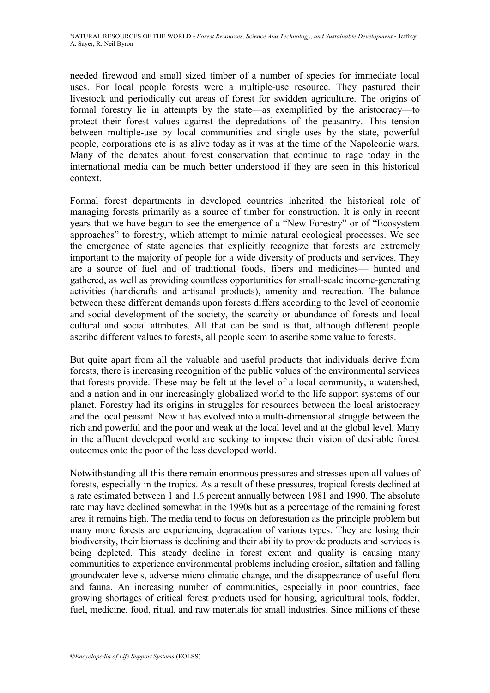needed firewood and small sized timber of a number of species for immediate local uses. For local people forests were a multiple-use resource. They pastured their livestock and periodically cut areas of forest for swidden agriculture. The origins of formal forestry lie in attempts by the state—as exemplified by the aristocracy—to protect their forest values against the depredations of the peasantry. This tension between multiple-use by local communities and single uses by the state, powerful people, corporations etc is as alive today as it was at the time of the Napoleonic wars. Many of the debates about forest conservation that continue to rage today in the international media can be much better understood if they are seen in this historical context.

Formal forest departments in developed countries inherited the historical role of managing forests primarily as a source of timber for construction. It is only in recent years that we have begun to see the emergence of a "New Forestry" or of "Ecosystem" approaches" to forestry, which attempt to mimic natural ecological processes. We see the emergence of state agencies that explicitly recognize that forests are extremely important to the majority of people for a wide diversity of products and services. They are a source of fuel and of traditional foods, fibers and medicines— hunted and gathered, as well as providing countless opportunities for small-scale income-generating activities (handicrafts and artisanal products), amenity and recreation. The balance between these different demands upon forests differs according to the level of economic and social development of the society, the scarcity or abundance of forests and local cultural and social attributes. All that can be said is that, although different people ascribe different values to forests, all people seem to ascribe some value to forests.

But quite apart from all the valuable and useful products that individuals derive from forests, there is increasing recognition of the public values of the environmental services that forests provide. These may be felt at the level of a local community, a watershed, and a nation and in our increasingly globalized world to the life support systems of our planet. Forestry had its origins in struggles for resources between the local aristocracy and the local peasant. Now it has evolved into a multi-dimensional struggle between the rich and powerful and the poor and weak at the local level and at the global level. Many in the affluent developed world are seeking to impose their vision of desirable forest outcomes onto the poor of the less developed world.

Notwithstanding all this there remain enormous pressures and stresses upon all values of forests, especially in the tropics. As a result of these pressures, tropical forests declined at a rate estimated between 1 and 1.6 percent annually between 1981 and 1990. The absolute rate may have declined somewhat in the 1990s but as a percentage of the remaining forest area it remains high. The media tend to focus on deforestation as the principle problem but many more forests are experiencing degradation of various types. They are losing their biodiversity, their biomass is declining and their ability to provide products and services is being depleted. This steady decline in forest extent and quality is causing many communities to experience environmental problems including erosion, siltation and falling groundwater levels, adverse micro climatic change, and the disappearance of useful flora and fauna. An increasing number of communities, especially in poor countries, face growing shortages of critical forest products used for housing, agricultural tools, fodder, fuel, medicine, food, ritual, and raw materials for small industries. Since millions of these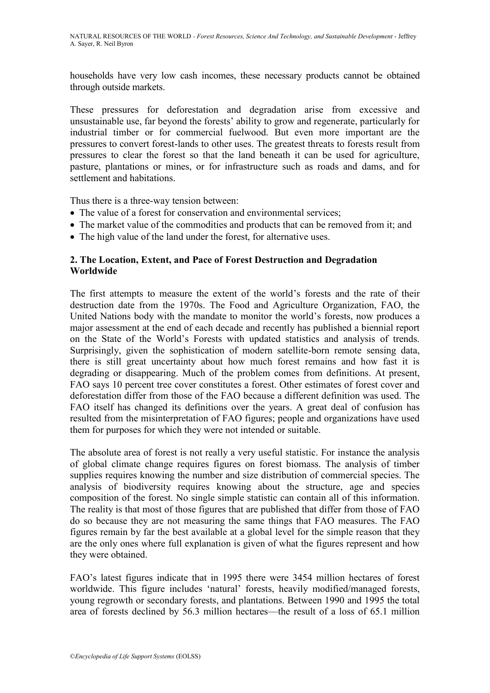households have very low cash incomes, these necessary products cannot be obtained through outside markets.

These pressures for deforestation and degradation arise from excessive and unsustainable use, far beyond the forests' ability to grow and regenerate, particularly for industrial timber or for commercial fuelwood. But even more important are the pressures to convert forest-lands to other uses. The greatest threats to forests result from pressures to clear the forest so that the land beneath it can be used for agriculture, pasture, plantations or mines, or for infrastructure such as roads and dams, and for settlement and habitations.

Thus there is a three-way tension between:

- The value of a forest for conservation and environmental services;
- The market value of the commodities and products that can be removed from it; and
- The high value of the land under the forest, for alternative uses.

## **2. The Location, Extent, and Pace of Forest Destruction and Degradation Worldwide**

The first attempts to measure the extent of the world's forests and the rate of their destruction date from the 1970s. The Food and Agriculture Organization, FAO, the United Nations body with the mandate to monitor the world's forests, now produces a major assessment at the end of each decade and recently has published a biennial report on the State of the World's Forests with updated statistics and analysis of trends. Surprisingly, given the sophistication of modern satellite-born remote sensing data, there is still great uncertainty about how much forest remains and how fast it is degrading or disappearing. Much of the problem comes from definitions. At present, FAO says 10 percent tree cover constitutes a forest. Other estimates of forest cover and deforestation differ from those of the FAO because a different definition was used. The FAO itself has changed its definitions over the years. A great deal of confusion has resulted from the misinterpretation of FAO figures; people and organizations have used them for purposes for which they were not intended or suitable.

The absolute area of forest is not really a very useful statistic. For instance the analysis of global climate change requires figures on forest biomass. The analysis of timber supplies requires knowing the number and size distribution of commercial species. The analysis of biodiversity requires knowing about the structure, age and species composition of the forest. No single simple statistic can contain all of this information. The reality is that most of those figures that are published that differ from those of FAO do so because they are not measuring the same things that FAO measures. The FAO figures remain by far the best available at a global level for the simple reason that they are the only ones where full explanation is given of what the figures represent and how they were obtained.

FAO's latest figures indicate that in 1995 there were 3454 million hectares of forest worldwide. This figure includes 'natural' forests, heavily modified/managed forests, young regrowth or secondary forests, and plantations. Between 1990 and 1995 the total area of forests declined by 56.3 million hectares—the result of a loss of 65.1 million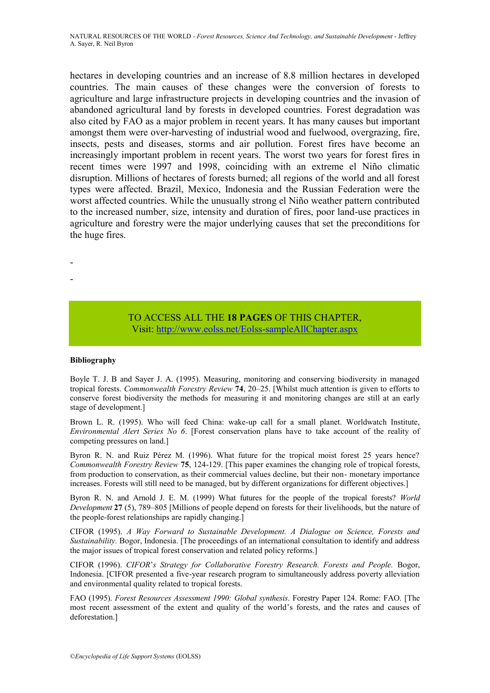hectares in developing countries and an increase of 8.8 million hectares in developed countries. The main causes of these changes were the conversion of forests to agriculture and large infrastructure projects in developing countries and the invasion of abandoned agricultural land by forests in developed countries. Forest degradation was also cited by FAO as a major problem in recent years. It has many causes but important amongst them were over-harvesting of industrial wood and fuelwood, overgrazing, fire, insects, pests and diseases, storms and air pollution. Forest fires have become an increasingly important problem in recent years. The worst two years for forest fires in recent times were 1997 and 1998, coinciding with an extreme el Niño climatic disruption. Millions of hectares of forests burned; all regions of the world and all forest types were affected. Brazil, Mexico, Indonesia and the Russian Federation were the worst affected countries. While the unusually strong el Niño weather pattern contributed to the increased number, size, intensity and duration of fires, poor land-use practices in agriculture and forestry were the major underlying causes that set the preconditions for the huge fires.

- -

## TO ACCESS ALL THE **18 PAGES** OF THIS CHAPTER, Vi[sit:](https://www.eolss.net/ebooklib/sc_cart.aspx?File=E1-02-15) <http://www.eolss.net/Eolss-sampleAllChapter.aspx>

#### **Bibliography**

Boyle T. J. B and Sayer J. A. (1995). Measuring, monitoring and conserving biodiversity in managed tropical forests. *Commonwealth Forestry Review* **74**, 20–25. [Whilst much attention is given to efforts to conserve forest biodiversity the methods for measuring it and monitoring changes are still at an early stage of development.]

Brown L. R. (1995). Who will feed China: wake-up call for a small planet. Worldwatch Institute, *Environmental Alert Series No 6*. [Forest conservation plans have to take account of the reality of competing pressures on land.]

Byron R. N. and Ruiz Pérez M. (1996). What future for the tropical moist forest 25 years hence? *Commonwealth Forestry Review* **75**, 124-129. [This paper examines the changing role of tropical forests, from production to conservation, as their commercial values decline, but their non- monetary importance increases. Forests will still need to be managed, but by different organizations for different objectives.]

Byron R. N. and Arnold J. E. M. (1999) What futures for the people of the tropical forests? *World Development* **27** (5), 789–805 [Millions of people depend on forests for their livelihoods, but the nature of the people-forest relationships are rapidly changing.]

CIFOR (1995). *A Way Forward to Sustainable Development. A Dialogue on Science, Forests and Sustainability.* Bogor, Indonesia. [The proceedings of an international consultation to identify and address the major issues of tropical forest conservation and related policy reforms.]

CIFOR (1996). *CIFOR*'*s Strategy for Collaborative Forestry Research. Forests and People.* Bogor, Indonesia. [CIFOR presented a five-year research program to simultaneously address poverty alleviation and environmental quality related to tropical forests.

FAO (1995). *Forest Resources Assessment 1990: Global synthesis*. Forestry Paper 124. Rome: FAO. [The most recent assessment of the extent and quality of the world's forests, and the rates and causes of deforestation.]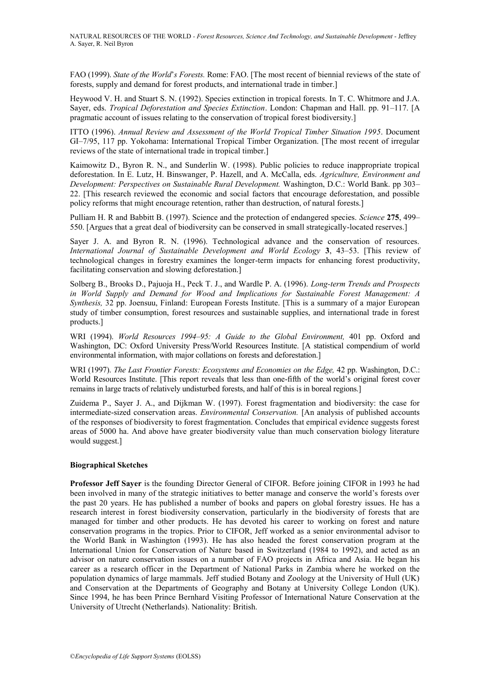FAO (1999). *State of the World*'*s Forests.* Rome: FAO. [The most recent of biennial reviews of the state of forests, supply and demand for forest products, and international trade in timber.]

Heywood V. H. and Stuart S. N. (1992). Species extinction in tropical forests. In T. C. Whitmore and J.A. Sayer, eds. *Tropical Deforestation and Species Extinction*. London: Chapman and Hall. pp. 91–117. [A pragmatic account of issues relating to the conservation of tropical forest biodiversity.]

ITTO (1996). *Annual Review and Assessment of the World Tropical Timber Situation 1995*. Document GI–7/95, 117 pp. Yokohama: International Tropical Timber Organization. [The most recent of irregular reviews of the state of international trade in tropical timber.]

Kaimowitz D., Byron R. N., and Sunderlin W. (1998). Public policies to reduce inappropriate tropical deforestation. In E. Lutz, H. Binswanger, P. Hazell, and A. McCalla, eds. *Agriculture, Environment and Development: Perspectives on Sustainable Rural Development.* Washington, D.C.: World Bank. pp 303– 22. [This research reviewed the economic and social factors that encourage deforestation, and possible policy reforms that might encourage retention, rather than destruction, of natural forests.]

Pulliam H. R and Babbitt B. (1997). Science and the protection of endangered species. *Science* **275**, 499– 550. [Argues that a great deal of biodiversity can be conserved in small strategically-located reserves.]

Sayer J. A. and Byron R. N. (1996). Technological advance and the conservation of resources. *International Journal of Sustainable Development and World Ecology* **3**, 43–53. [This review of technological changes in forestry examines the longer-term impacts for enhancing forest productivity, facilitating conservation and slowing deforestation.]

Solberg B., Brooks D., Pajuoja H., Peck T. J., and Wardle P. A. (1996). *Long-term Trends and Prospects in World Supply and Demand for Wood and Implications for Sustainable Forest Management: A Synthesis,* 32 pp. Joensuu, Finland: European Forests Institute. [This is a summary of a major European study of timber consumption, forest resources and sustainable supplies, and international trade in forest products.]

WRI (1994). *World Resources 1994–95: A Guide to the Global Environment,* 401 pp. Oxford and Washington, DC: Oxford University Press/World Resources Institute. [A statistical compendium of world environmental information, with major collations on forests and deforestation.]

WRI (1997). *The Last Frontier Forests: Ecosystems and Economies on the Edge,* 42 pp. Washington, D.C.: World Resources Institute. [This report reveals that less than one-fifth of the world's original forest cover remains in large tracts of relatively undisturbed forests, and half of this is in boreal regions.]

Zuidema P., Sayer J. A., and Dijkman W. (1997). Forest fragmentation and biodiversity: the case for intermediate-sized conservation areas. *Environmental Conservation.* [An analysis of published accounts of the responses of biodiversity to forest fragmentation. Concludes that empirical evidence suggests forest areas of 5000 ha. And above have greater biodiversity value than much conservation biology literature would suggest.]

#### **Biographical Sketches**

**Professor Jeff Sayer** is the founding Director General of CIFOR. Before joining CIFOR in 1993 he had been involved in many of the strategic initiatives to better manage and conserve the world's forests over the past 20 years. He has published a number of books and papers on global forestry issues. He has a research interest in forest biodiversity conservation, particularly in the biodiversity of forests that are managed for timber and other products. He has devoted his career to working on forest and nature conservation programs in the tropics. Prior to CIFOR, Jeff worked as a senior environmental advisor to the World Bank in Washington (1993). He has also headed the forest conservation program at the International Union for Conservation of Nature based in Switzerland (1984 to 1992), and acted as an advisor on nature conservation issues on a number of FAO projects in Africa and Asia. He began his career as a research officer in the Department of National Parks in Zambia where he worked on the population dynamics of large mammals. Jeff studied Botany and Zoology at the University of Hull (UK) and Conservation at the Departments of Geography and Botany at University College London (UK). Since 1994, he has been Prince Bernhard Visiting Professor of International Nature Conservation at the University of Utrecht (Netherlands). Nationality: British.